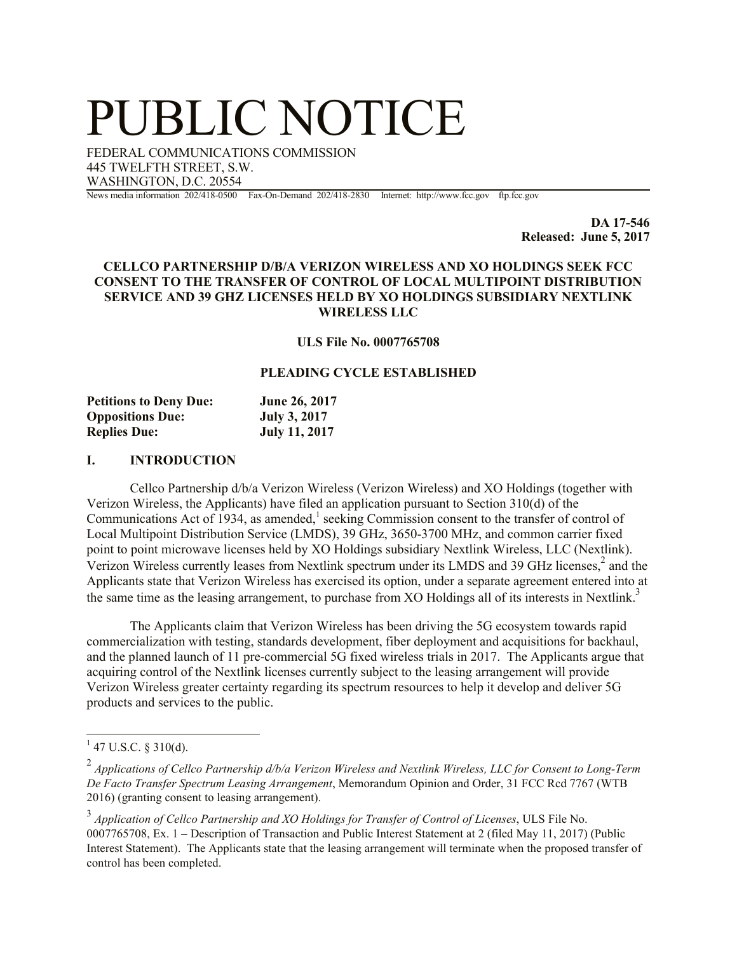# PUBLIC NOTICE

FEDERAL COMMUNICATIONS COMMISSION 445 TWELFTH STREET, S.W. WASHINGTON, D.C. 20554

News media information 202/418-0500 Fax-On-Demand 202/418-2830 Internet: http://www.fcc.gov ftp.fcc.gov

**DA 17-546 Released: June 5, 2017**

## **CELLCO PARTNERSHIP D/B/A VERIZON WIRELESS AND XO HOLDINGS SEEK FCC CONSENT TO THE TRANSFER OF CONTROL OF LOCAL MULTIPOINT DISTRIBUTION SERVICE AND 39 GHZ LICENSES HELD BY XO HOLDINGS SUBSIDIARY NEXTLINK WIRELESS LLC**

#### **ULS File No. 0007765708**

## **PLEADING CYCLE ESTABLISHED**

| <b>Petitions to Deny Due:</b> | June 26, 2017        |
|-------------------------------|----------------------|
| <b>Oppositions Due:</b>       | <b>July 3, 2017</b>  |
| <b>Replies Due:</b>           | <b>July 11, 2017</b> |

#### **I. INTRODUCTION**

Cellco Partnership d/b/a Verizon Wireless (Verizon Wireless) and XO Holdings (together with Verizon Wireless, the Applicants) have filed an application pursuant to Section 310(d) of the Communications Act of 1934, as amended,<sup>1</sup> seeking Commission consent to the transfer of control of Local Multipoint Distribution Service (LMDS), 39 GHz, 3650-3700 MHz, and common carrier fixed point to point microwave licenses held by XO Holdings subsidiary Nextlink Wireless, LLC (Nextlink). Verizon Wireless currently leases from Nextlink spectrum under its LMDS and 39 GHz licenses,<sup>2</sup> and the Applicants state that Verizon Wireless has exercised its option, under a separate agreement entered into at the same time as the leasing arrangement, to purchase from XO Holdings all of its interests in Nextlink.<sup>3</sup>

The Applicants claim that Verizon Wireless has been driving the 5G ecosystem towards rapid commercialization with testing, standards development, fiber deployment and acquisitions for backhaul, and the planned launch of 11 pre-commercial 5G fixed wireless trials in 2017. The Applicants argue that acquiring control of the Nextlink licenses currently subject to the leasing arrangement will provide Verizon Wireless greater certainty regarding its spectrum resources to help it develop and deliver 5G products and services to the public.

 $\overline{a}$ 

 $1$  47 U.S.C. § 310(d).

<sup>2</sup> *Applications of Cellco Partnership d/b/a Verizon Wireless and Nextlink Wireless, LLC for Consent to Long-Term De Facto Transfer Spectrum Leasing Arrangement*, Memorandum Opinion and Order, 31 FCC Rcd 7767 (WTB 2016) (granting consent to leasing arrangement).

<sup>3</sup> *Application of Cellco Partnership and XO Holdings for Transfer of Control of Licenses*, ULS File No. 0007765708, Ex. 1 – Description of Transaction and Public Interest Statement at 2 (filed May 11, 2017) (Public Interest Statement). The Applicants state that the leasing arrangement will terminate when the proposed transfer of control has been completed.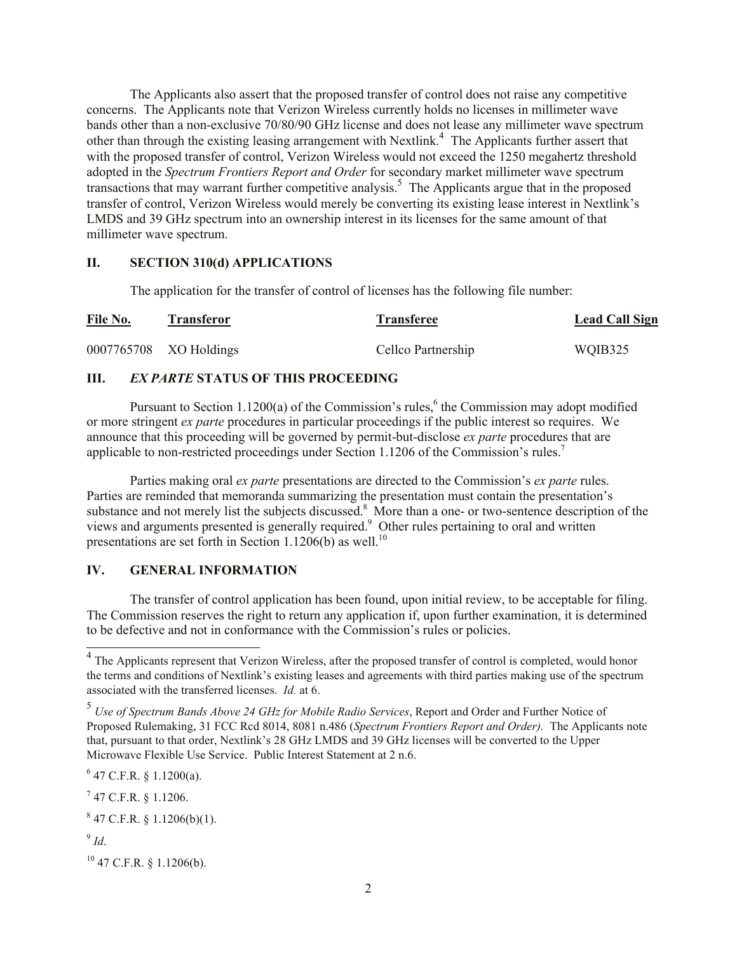The Applicants also assert that the proposed transfer of control does not raise any competitive concerns. The Applicants note that Verizon Wireless currently holds no licenses in millimeter wave bands other than a non-exclusive 70/80/90 GHz license and does not lease any millimeter wave spectrum other than through the existing leasing arrangement with Nextlink. 4 The Applicants further assert that with the proposed transfer of control, Verizon Wireless would not exceed the 1250 megahertz threshold adopted in the *Spectrum Frontiers Report and Order* for secondary market millimeter wave spectrum transactions that may warrant further competitive analysis.<sup>5</sup> The Applicants argue that in the proposed transfer of control, Verizon Wireless would merely be converting its existing lease interest in Nextlink's LMDS and 39 GHz spectrum into an ownership interest in its licenses for the same amount of that millimeter wave spectrum.

### **II. SECTION 310(d) APPLICATIONS**

The application for the transfer of control of licenses has the following file number:

| File No. | Transferor             | <b>Transferee</b>  | <b>Lead Call Sign</b> |
|----------|------------------------|--------------------|-----------------------|
|          | 0007765708 XO Holdings | Cellco Partnership | WQIB325               |

# **III.** *EX PARTE* **STATUS OF THIS PROCEEDING**

Pursuant to Section 1.1200(a) of the Commission's rules,<sup>6</sup> the Commission may adopt modified or more stringent *ex parte* procedures in particular proceedings if the public interest so requires. We announce that this proceeding will be governed by permit-but-disclose *ex parte* procedures that are applicable to non-restricted proceedings under Section 1.1206 of the Commission's rules.<sup>7</sup>

Parties making oral *ex parte* presentations are directed to the Commission's *ex parte* rules. Parties are reminded that memoranda summarizing the presentation must contain the presentation's substance and not merely list the subjects discussed.<sup>8</sup> More than a one- or two-sentence description of the views and arguments presented is generally required.<sup>9</sup> Other rules pertaining to oral and written presentations are set forth in Section 1.1206(b) as well.<sup>10</sup>

## **IV. GENERAL INFORMATION**

The transfer of control application has been found, upon initial review, to be acceptable for filing. The Commission reserves the right to return any application if, upon further examination, it is determined to be defective and not in conformance with the Commission's rules or policies.

 $6$  47 C.F.R. § 1.1200(a).

 $^{7}$  47 C.F.R. § 1.1206.

 $847$  C.F.R. § 1.1206(b)(1).

9 *Id*.

 $10$  47 C.F.R. § 1.1206(b).

<sup>&</sup>lt;sup>4</sup> The Applicants represent that Verizon Wireless, after the proposed transfer of control is completed, would honor the terms and conditions of Nextlink's existing leases and agreements with third parties making use of the spectrum associated with the transferred licenses. *Id.* at 6.

<sup>5</sup> *Use of Spectrum Bands Above 24 GHz for Mobile Radio Services*, Report and Order and Further Notice of Proposed Rulemaking, 31 FCC Rcd 8014, 8081 n.486 (*Spectrum Frontiers Report and Order).* The Applicants note that, pursuant to that order, Nextlink's 28 GHz LMDS and 39 GHz licenses will be converted to the Upper Microwave Flexible Use Service. Public Interest Statement at 2 n.6.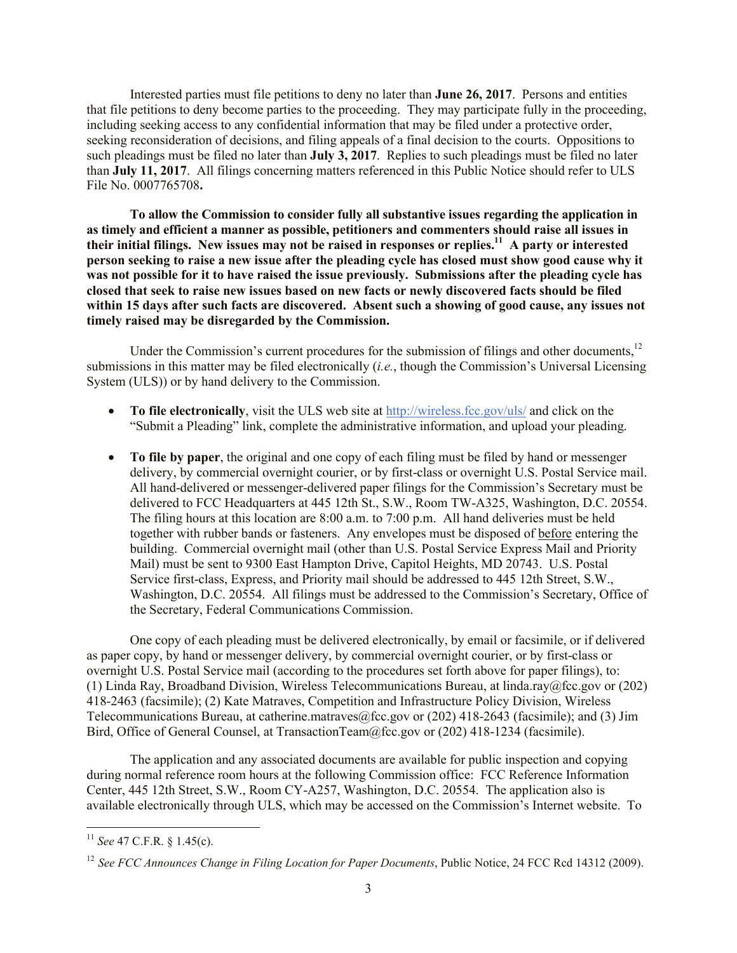Interested parties must file petitions to deny no later than **June 26, 2017**. Persons and entities that file petitions to deny become parties to the proceeding. They may participate fully in the proceeding, including seeking access to any confidential information that may be filed under a protective order, seeking reconsideration of decisions, and filing appeals of a final decision to the courts. Oppositions to such pleadings must be filed no later than **July 3, 2017**. Replies to such pleadings must be filed no later than **July 11, 2017**. All filings concerning matters referenced in this Public Notice should refer to ULS File No. 0007765708**.**

**To allow the Commission to consider fully all substantive issues regarding the application in as timely and efficient a manner as possible, petitioners and commenters should raise all issues in their initial filings. New issues may not be raised in responses or replies.<sup>11</sup> A party or interested person seeking to raise a new issue after the pleading cycle has closed must show good cause why it was not possible for it to have raised the issue previously. Submissions after the pleading cycle has closed that seek to raise new issues based on new facts or newly discovered facts should be filed within 15 days after such facts are discovered. Absent such a showing of good cause, any issues not timely raised may be disregarded by the Commission.**

Under the Commission's current procedures for the submission of filings and other documents,<sup>12</sup> submissions in this matter may be filed electronically (*i.e.*, though the Commission's Universal Licensing System (ULS)) or by hand delivery to the Commission.

- **To file electronically**, visit the ULS web site at http://wireless.fcc.gov/uls/ and click on the "Submit a Pleading" link, complete the administrative information, and upload your pleading.
- **To file by paper**, the original and one copy of each filing must be filed by hand or messenger delivery, by commercial overnight courier, or by first-class or overnight U.S. Postal Service mail. All hand-delivered or messenger-delivered paper filings for the Commission's Secretary must be delivered to FCC Headquarters at 445 12th St., S.W., Room TW-A325, Washington, D.C. 20554. The filing hours at this location are 8:00 a.m. to 7:00 p.m. All hand deliveries must be held together with rubber bands or fasteners. Any envelopes must be disposed of before entering the building. Commercial overnight mail (other than U.S. Postal Service Express Mail and Priority Mail) must be sent to 9300 East Hampton Drive, Capitol Heights, MD 20743. U.S. Postal Service first-class, Express, and Priority mail should be addressed to 445 12th Street, S.W., Washington, D.C. 20554. All filings must be addressed to the Commission's Secretary, Office of the Secretary, Federal Communications Commission.

One copy of each pleading must be delivered electronically, by email or facsimile, or if delivered as paper copy, by hand or messenger delivery, by commercial overnight courier, or by first-class or overnight U.S. Postal Service mail (according to the procedures set forth above for paper filings), to: (1) Linda Ray, Broadband Division, Wireless Telecommunications Bureau, at linda.ray@fcc.gov or (202) 418-2463 (facsimile); (2) Kate Matraves, Competition and Infrastructure Policy Division, Wireless Telecommunications Bureau, at catherine.matraves@fcc.gov or (202) 418-2643 (facsimile); and (3) Jim Bird, Office of General Counsel, at TransactionTeam@fcc.gov or (202) 418-1234 (facsimile).

The application and any associated documents are available for public inspection and copying during normal reference room hours at the following Commission office: FCC Reference Information Center, 445 12th Street, S.W., Room CY-A257, Washington, D.C. 20554. The application also is available electronically through ULS, which may be accessed on the Commission's Internet website. To

 $\overline{a}$ 

<sup>11</sup> *See* 47 C.F.R. § 1.45(c).

<sup>12</sup> *See FCC Announces Change in Filing Location for Paper Documents*, Public Notice, 24 FCC Rcd 14312 (2009).